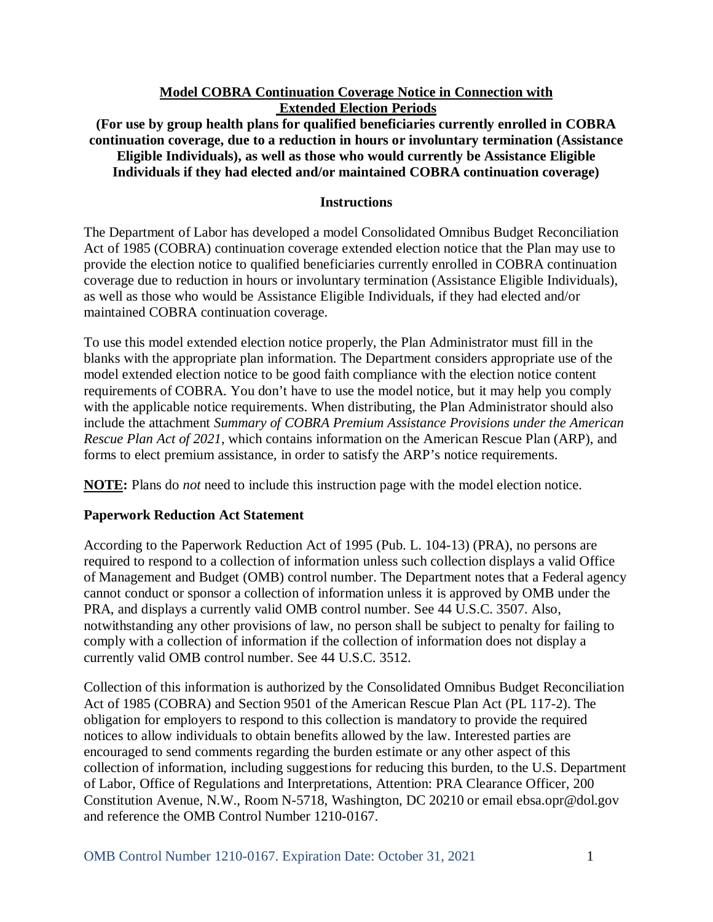# **Model COBRA Continuation Coverage Notice in Connection with Extended Election Periods**

**(For use by group health plans for qualified beneficiaries currently enrolled in COBRA continuation coverage, due to a reduction in hours or involuntary termination (Assistance Eligible Individuals), as well as those who would currently be Assistance Eligible Individuals if they had elected and/or maintained COBRA continuation coverage)**

## **Instructions**

The Department of Labor has developed a model Consolidated Omnibus Budget Reconciliation Act of 1985 (COBRA) continuation coverage extended election notice that the Plan may use to provide the election notice to qualified beneficiaries currently enrolled in COBRA continuation coverage due to reduction in hours or involuntary termination (Assistance Eligible Individuals), as well as those who would be Assistance Eligible Individuals, if they had elected and/or maintained COBRA continuation coverage.

To use this model extended election notice properly, the Plan Administrator must fill in the blanks with the appropriate plan information. The Department considers appropriate use of the model extended election notice to be good faith compliance with the election notice content requirements of COBRA. You don't have to use the model notice, but it may help you comply with the applicable notice requirements. When distributing, the Plan Administrator should also include the attachment *Summary of COBRA Premium Assistance Provisions under the American Rescue Plan Act of 2021*, which contains information on the American Rescue Plan (ARP), and forms to elect premium assistance, in order to satisfy the ARP's notice requirements.

**NOTE:** Plans do *not* need to include this instruction page with the model election notice.

# **Paperwork Reduction Act Statement**

According to the Paperwork Reduction Act of 1995 (Pub. L. 104-13) (PRA), no persons are required to respond to a collection of information unless such collection displays a valid Office of Management and Budget (OMB) control number. The Department notes that a Federal agency cannot conduct or sponsor a collection of information unless it is approved by OMB under the PRA, and displays a currently valid OMB control number. See 44 U.S.C. 3507. Also, notwithstanding any other provisions of law, no person shall be subject to penalty for failing to comply with a collection of information if the collection of information does not display a currently valid OMB control number. See 44 U.S.C. 3512.

Collection of this information is authorized by the Consolidated Omnibus Budget Reconciliation Act of 1985 (COBRA) and Section 9501 of the American Rescue Plan Act (PL 117-2). The obligation for employers to respond to this collection is mandatory to provide the required notices to allow individuals to obtain benefits allowed by the law. Interested parties are encouraged to send comments regarding the burden estimate or any other aspect of this collection of information, including suggestions for reducing this burden, to the U.S. Department of Labor, Office of Regulations and Interpretations, Attention: PRA Clearance Officer, 200 Constitution Avenue, N.W., Room N-5718, Washington, DC 20210 or email ebsa.opr@dol.gov and reference the OMB Control Number 1210-0167.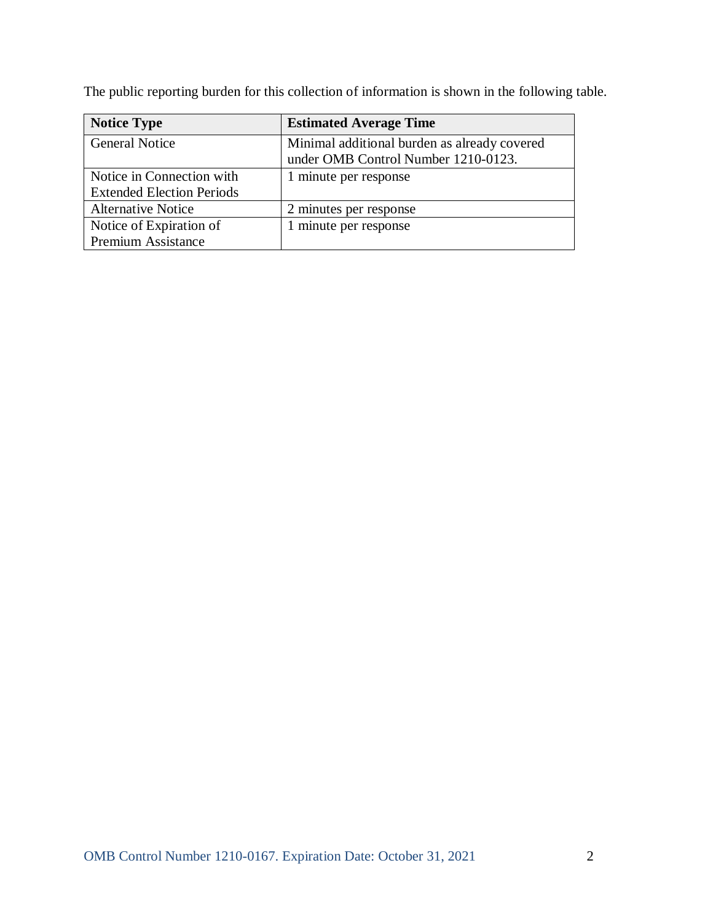The public reporting burden for this collection of information is shown in the following table.

| <b>Notice Type</b>               | <b>Estimated Average Time</b>                |  |
|----------------------------------|----------------------------------------------|--|
| <b>General Notice</b>            | Minimal additional burden as already covered |  |
|                                  | under OMB Control Number 1210-0123.          |  |
| Notice in Connection with        | 1 minute per response                        |  |
| <b>Extended Election Periods</b> |                                              |  |
| <b>Alternative Notice</b>        | 2 minutes per response                       |  |
| Notice of Expiration of          | minute per response                          |  |
| <b>Premium Assistance</b>        |                                              |  |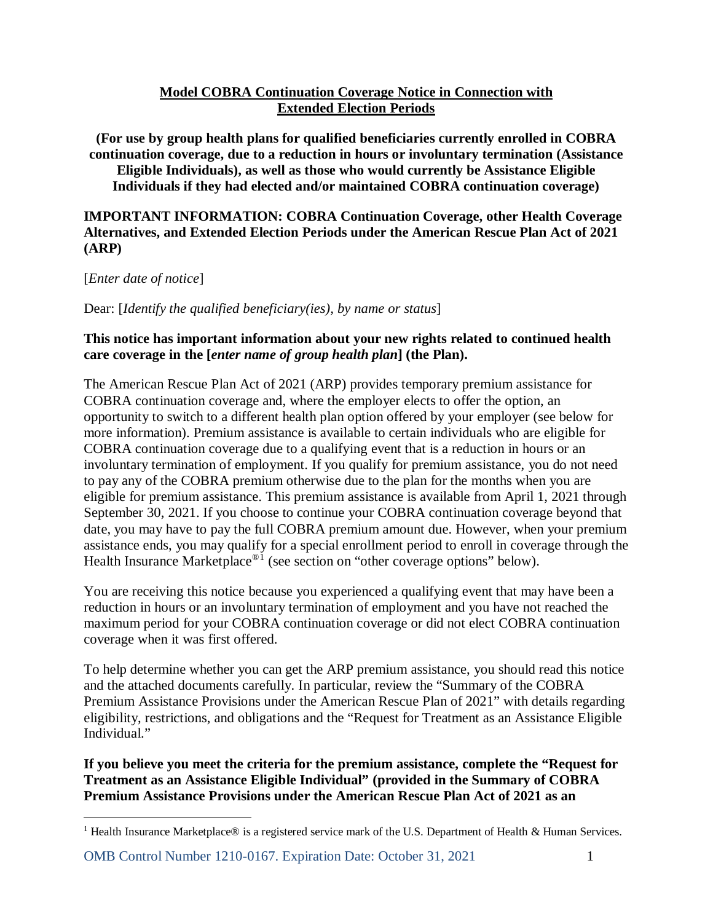# **Model COBRA Continuation Coverage Notice in Connection with Extended Election Periods**

**(For use by group health plans for qualified beneficiaries currently enrolled in COBRA continuation coverage, due to a reduction in hours or involuntary termination (Assistance Eligible Individuals), as well as those who would currently be Assistance Eligible Individuals if they had elected and/or maintained COBRA continuation coverage)**

# **IMPORTANT INFORMATION: COBRA Continuation Coverage, other Health Coverage Alternatives, and Extended Election Periods under the American Rescue Plan Act of 2021 (ARP)**

[*Enter date of notice*]

 $\overline{a}$ 

Dear: [*Identify the qualified beneficiary(ies), by name or status*]

# **This notice has important information about your new rights related to continued health care coverage in the [***enter name of group health plan***] (the Plan).**

The American Rescue Plan Act of 2021 (ARP) provides temporary premium assistance for COBRA continuation coverage and, where the employer elects to offer the option, an opportunity to switch to a different health plan option offered by your employer (see below for more information). Premium assistance is available to certain individuals who are eligible for COBRA continuation coverage due to a qualifying event that is a reduction in hours or an involuntary termination of employment. If you qualify for premium assistance, you do not need to pay any of the COBRA premium otherwise due to the plan for the months when you are eligible for premium assistance. This premium assistance is available from April 1, 2021 through September 30, 2021. If you choose to continue your COBRA continuation coverage beyond that date, you may have to pay the full COBRA premium amount due. However, when your premium assistance ends, you may qualify for a special enrollment period to enroll in coverage through the Health Insurance Marketplace<sup>®[1](#page-2-0)</sup> (see section on "other coverage options" below).

You are receiving this notice because you experienced a qualifying event that may have been a reduction in hours or an involuntary termination of employment and you have not reached the maximum period for your COBRA continuation coverage or did not elect COBRA continuation coverage when it was first offered.

To help determine whether you can get the ARP premium assistance, you should read this notice and the attached documents carefully. In particular, review the "Summary of the COBRA Premium Assistance Provisions under the American Rescue Plan of 2021" with details regarding eligibility, restrictions, and obligations and the "Request for Treatment as an Assistance Eligible Individual."

**If you believe you meet the criteria for the premium assistance, complete the "Request for Treatment as an Assistance Eligible Individual" (provided in the Summary of COBRA Premium Assistance Provisions under the American Rescue Plan Act of 2021 as an** 

OMB Control Number 1210-0167. Expiration Date: October 31, 2021 1

<span id="page-2-0"></span><sup>&</sup>lt;sup>1</sup> Health Insurance Marketplace® is a registered service mark of the U.S. Department of Health & Human Services.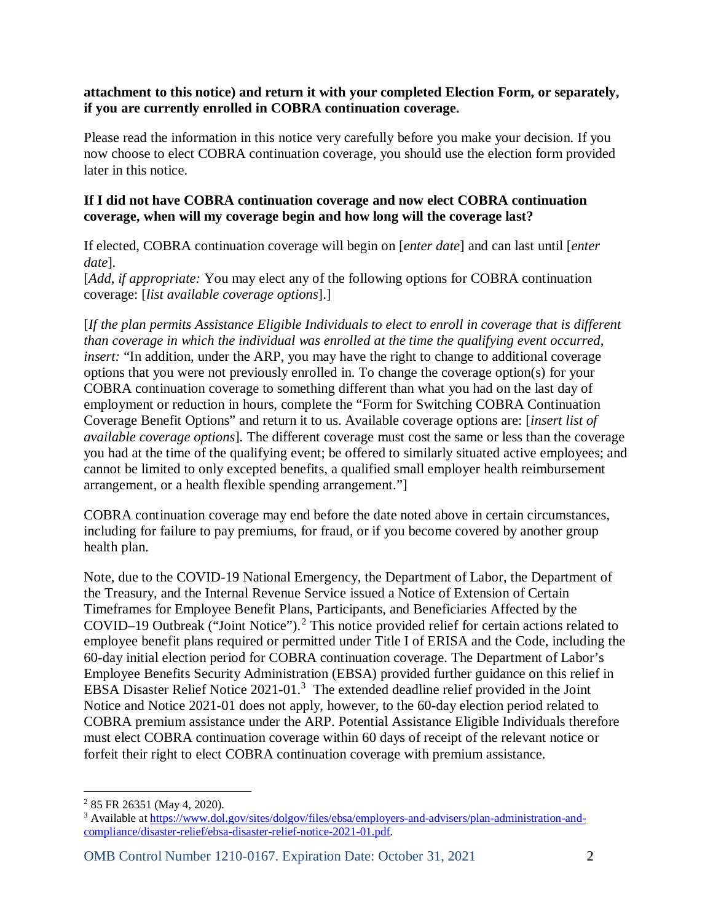## **attachment to this notice) and return it with your completed Election Form, or separately, if you are currently enrolled in COBRA continuation coverage.**

Please read the information in this notice very carefully before you make your decision. If you now choose to elect COBRA continuation coverage, you should use the election form provided later in this notice.

## **If I did not have COBRA continuation coverage and now elect COBRA continuation coverage, when will my coverage begin and how long will the coverage last?**

If elected, COBRA continuation coverage will begin on [*enter date*] and can last until [*enter date*]*.* 

[*Add, if appropriate:* You may elect any of the following options for COBRA continuation coverage: [*list available coverage options*].]

[*If the plan permits Assistance Eligible Individuals to elect to enroll in coverage that is different than coverage in which the individual was enrolled at the time the qualifying event occurred, insert:* "In addition, under the ARP, you may have the right to change to additional coverage options that you were not previously enrolled in. To change the coverage option(s) for your COBRA continuation coverage to something different than what you had on the last day of employment or reduction in hours, complete the "Form for Switching COBRA Continuation Coverage Benefit Options" and return it to us. Available coverage options are: [*insert list of available coverage options*]*.* The different coverage must cost the same or less than the coverage you had at the time of the qualifying event; be offered to similarly situated active employees; and cannot be limited to only excepted benefits, a qualified small employer health reimbursement arrangement, or a health flexible spending arrangement."]

COBRA continuation coverage may end before the date noted above in certain circumstances, including for failure to pay premiums, for fraud, or if you become covered by another group health plan.

Note, due to the COVID-19 National Emergency, the Department of Labor, the Department of the Treasury, and the Internal Revenue Service issued a Notice of Extension of Certain Timeframes for Employee Benefit Plans, Participants, and Beneficiaries Affected by the COVID–19 Outbreak ("Joint Notice").<sup>[2](#page-3-0)</sup> This notice provided relief for certain actions related to employee benefit plans required or permitted under Title I of ERISA and the Code, including the 60-day initial election period for COBRA continuation coverage. The Department of Labor's Employee Benefits Security Administration (EBSA) provided further guidance on this relief in EBSA Disaster Relief Notice 2021-01.<sup>[3](#page-3-1)</sup> The extended deadline relief provided in the Joint Notice and Notice 2021-01 does not apply, however, to the 60-day election period related to COBRA premium assistance under the ARP. Potential Assistance Eligible Individuals therefore must elect COBRA continuation coverage within 60 days of receipt of the relevant notice or forfeit their right to elect COBRA continuation coverage with premium assistance.

OMB Control Number 1210-0167. Expiration Date: October 31, 2021 2

 $\overline{a}$ <sup>2</sup> 85 FR 26351 (May 4, 2020).

<span id="page-3-1"></span><span id="page-3-0"></span><sup>3</sup> Available at [https://www.dol.gov/sites/dolgov/files/ebsa/employers-and-advisers/plan-administration-and](https://www.dol.gov/sites/dolgov/files/ebsa/employers-and-advisers/plan-administration-and-compliance/disaster-relief/ebsa-disaster-relief-notice-2021-01.pdf)[compliance/disaster-relief/ebsa-disaster-relief-notice-2021-01.pdf.](https://www.dol.gov/sites/dolgov/files/ebsa/employers-and-advisers/plan-administration-and-compliance/disaster-relief/ebsa-disaster-relief-notice-2021-01.pdf)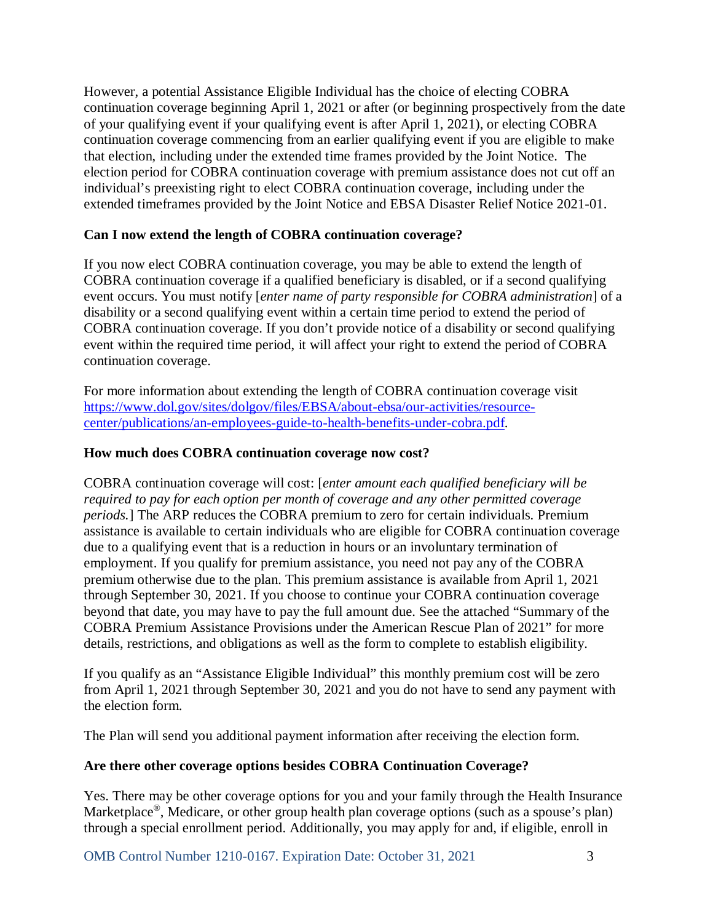However, a potential Assistance Eligible Individual has the choice of electing COBRA continuation coverage beginning April 1, 2021 or after (or beginning prospectively from the date of your qualifying event if your qualifying event is after April 1, 2021), or electing COBRA continuation coverage commencing from an earlier qualifying event if you are eligible to make that election, including under the extended time frames provided by the Joint Notice. The election period for COBRA continuation coverage with premium assistance does not cut off an individual's preexisting right to elect COBRA continuation coverage, including under the extended timeframes provided by the Joint Notice and EBSA Disaster Relief Notice 2021-01.

## **Can I now extend the length of COBRA continuation coverage?**

If you now elect COBRA continuation coverage, you may be able to extend the length of COBRA continuation coverage if a qualified beneficiary is disabled, or if a second qualifying event occurs. You must notify [*enter name of party responsible for COBRA administration*] of a disability or a second qualifying event within a certain time period to extend the period of COBRA continuation coverage. If you don't provide notice of a disability or second qualifying event within the required time period, it will affect your right to extend the period of COBRA continuation coverage.

For more information about extending the length of COBRA continuation coverage visit [https://www.dol.gov/sites/dolgov/files/EBSA/about-ebsa/our-activities/resource](https://www.dol.gov/sites/dolgov/files/EBSA/about-ebsa/our-activities/resource-center/publications/an-employees-guide-to-health-benefits-under-cobra.pdf)[center/publications/an-employees-guide-to-health-benefits-under-cobra.pdf.](https://www.dol.gov/sites/dolgov/files/EBSA/about-ebsa/our-activities/resource-center/publications/an-employees-guide-to-health-benefits-under-cobra.pdf)

#### **How much does COBRA continuation coverage now cost?**

COBRA continuation coverage will cost: [*enter amount each qualified beneficiary will be required to pay for each option per month of coverage and any other permitted coverage periods.*] The ARP reduces the COBRA premium to zero for certain individuals. Premium assistance is available to certain individuals who are eligible for COBRA continuation coverage due to a qualifying event that is a reduction in hours or an involuntary termination of employment. If you qualify for premium assistance, you need not pay any of the COBRA premium otherwise due to the plan. This premium assistance is available from April 1, 2021 through September 30, 2021. If you choose to continue your COBRA continuation coverage beyond that date, you may have to pay the full amount due. See the attached "Summary of the COBRA Premium Assistance Provisions under the American Rescue Plan of 2021" for more details, restrictions, and obligations as well as the form to complete to establish eligibility.

If you qualify as an "Assistance Eligible Individual" this monthly premium cost will be zero from April 1, 2021 through September 30, 2021 and you do not have to send any payment with the election form.

The Plan will send you additional payment information after receiving the election form.

#### **Are there other coverage options besides COBRA Continuation Coverage?**

Yes. There may be other coverage options for you and your family through the Health Insurance Marketplace<sup>®</sup>, Medicare, or other group health plan coverage options (such as a spouse's plan) through a special enrollment period. Additionally, you may apply for and, if eligible, enroll in

OMB Control Number 1210-0167. Expiration Date: October 31, 2021 3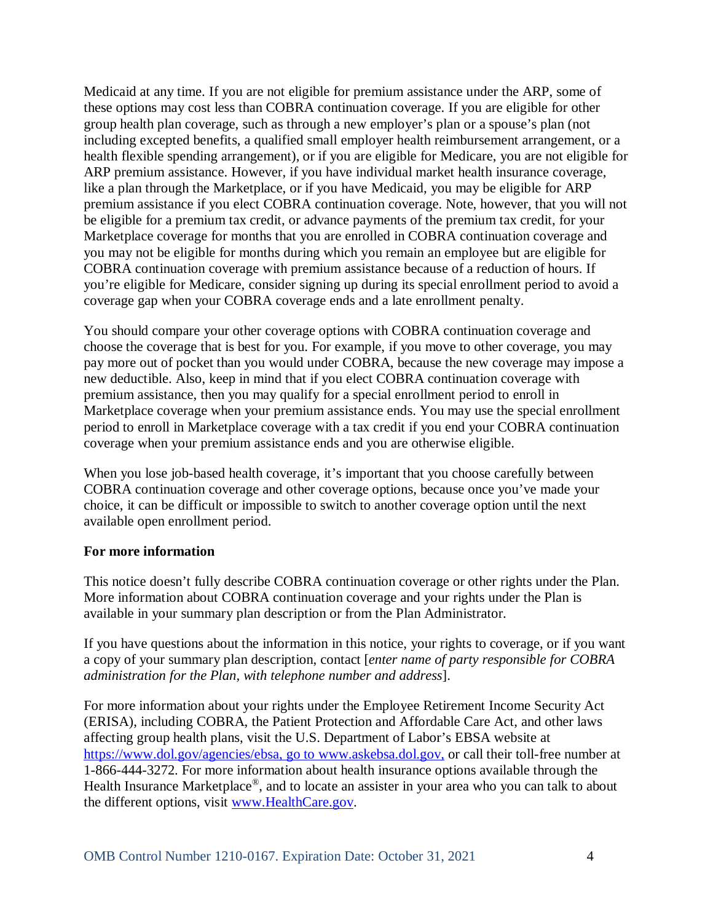Medicaid at any time. If you are not eligible for premium assistance under the ARP, some of these options may cost less than COBRA continuation coverage. If you are eligible for other group health plan coverage, such as through a new employer's plan or a spouse's plan (not including excepted benefits, a qualified small employer health reimbursement arrangement, or a health flexible spending arrangement), or if you are eligible for Medicare, you are not eligible for ARP premium assistance. However, if you have individual market health insurance coverage, like a plan through the Marketplace, or if you have Medicaid, you may be eligible for ARP premium assistance if you elect COBRA continuation coverage. Note, however, that you will not be eligible for a premium tax credit, or advance payments of the premium tax credit, for your Marketplace coverage for months that you are enrolled in COBRA continuation coverage and you may not be eligible for months during which you remain an employee but are eligible for COBRA continuation coverage with premium assistance because of a reduction of hours. If you're eligible for Medicare, consider signing up during its special enrollment period to avoid a coverage gap when your COBRA coverage ends and a late enrollment penalty.

You should compare your other coverage options with COBRA continuation coverage and choose the coverage that is best for you. For example, if you move to other coverage, you may pay more out of pocket than you would under COBRA, because the new coverage may impose a new deductible. Also, keep in mind that if you elect COBRA continuation coverage with premium assistance, then you may qualify for a special enrollment period to enroll in Marketplace coverage when your premium assistance ends. You may use the special enrollment period to enroll in Marketplace coverage with a tax credit if you end your COBRA continuation coverage when your premium assistance ends and you are otherwise eligible.

When you lose job-based health coverage, it's important that you choose carefully between COBRA continuation coverage and other coverage options, because once you've made your choice, it can be difficult or impossible to switch to another coverage option until the next available open enrollment period.

#### **For more information**

This notice doesn't fully describe COBRA continuation coverage or other rights under the Plan. More information about COBRA continuation coverage and your rights under the Plan is available in your summary plan description or from the Plan Administrator.

If you have questions about the information in this notice, your rights to coverage, or if you want a copy of your summary plan description, contact [*enter name of party responsible for COBRA administration for the Plan, with telephone number and address*].

For more information about your rights under the Employee Retirement Income Security Act (ERISA), including COBRA, the Patient Protection and Affordable Care Act, and other laws affecting group health plans, visit the U.S. Department of Labor's EBSA website at [https://www.dol.gov/agencies/ebsa,](https://www.dol.gov/agencies/ebsa) go to www.askebsa.dol.gov, or call their toll-free number at 1-866-444-3272. For more information about health insurance options available through the Health Insurance Marketplace®, and to locate an assister in your area who you can talk to about the different options, visit [www.HealthCare.gov.](http://www.healthcare.gov/)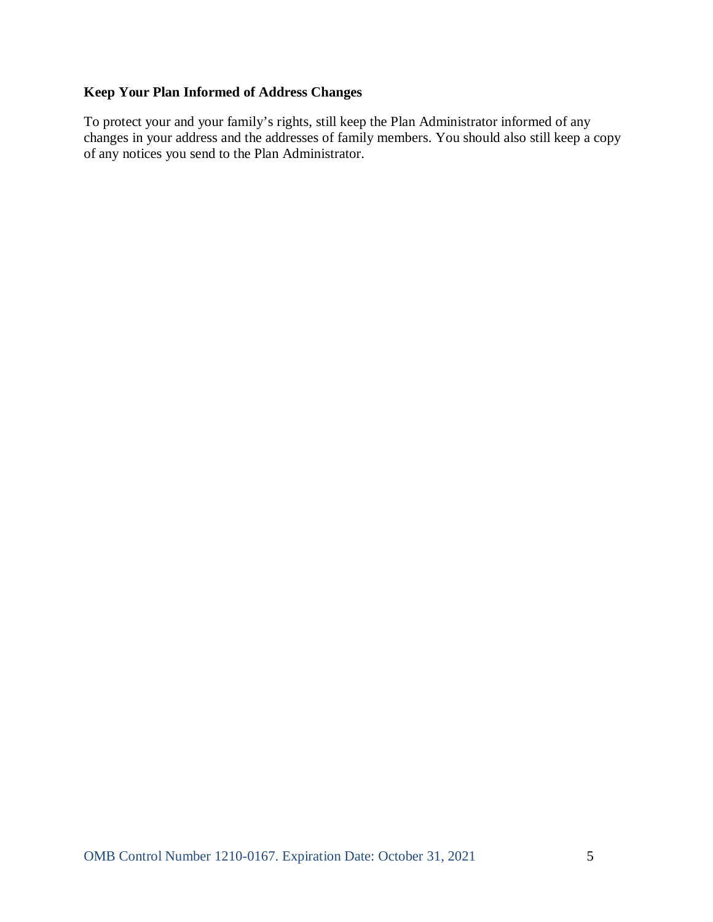# **Keep Your Plan Informed of Address Changes**

To protect your and your family's rights, still keep the Plan Administrator informed of any changes in your address and the addresses of family members. You should also still keep a copy of any notices you send to the Plan Administrator.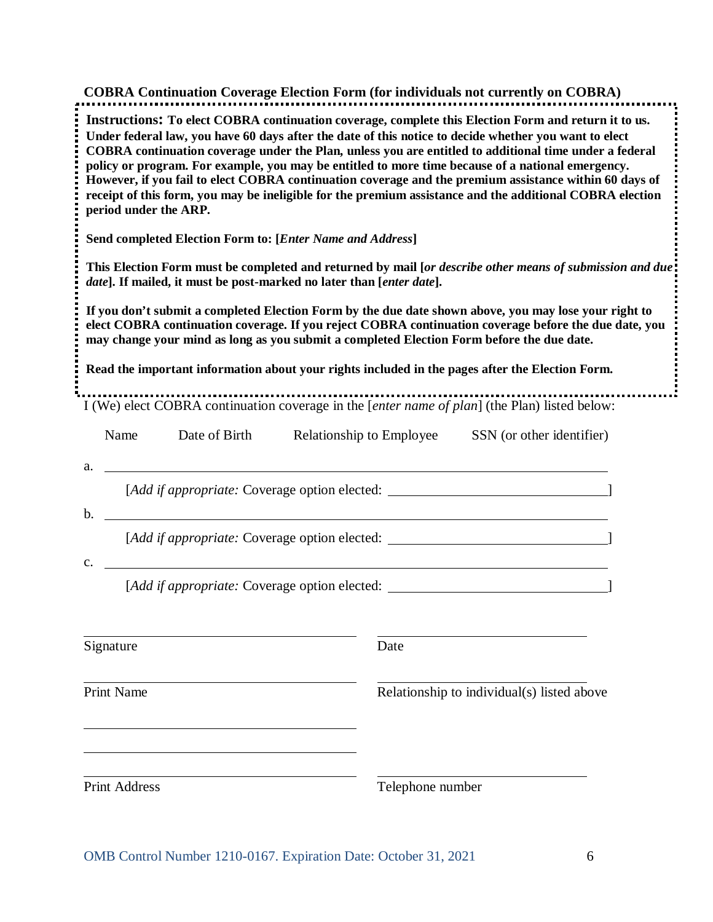| <b>COBRA Continuation Coverage Election Form (for individuals not currently on COBRA)</b>                                                                                                                                                                                                                                                                                                                                                                                                                                                                                                                                                                                   |                                                                                                                                                                                                             |                                            |                          |                           |  |  |  |  |
|-----------------------------------------------------------------------------------------------------------------------------------------------------------------------------------------------------------------------------------------------------------------------------------------------------------------------------------------------------------------------------------------------------------------------------------------------------------------------------------------------------------------------------------------------------------------------------------------------------------------------------------------------------------------------------|-------------------------------------------------------------------------------------------------------------------------------------------------------------------------------------------------------------|--------------------------------------------|--------------------------|---------------------------|--|--|--|--|
| Instructions: To elect COBRA continuation coverage, complete this Election Form and return it to us.<br>Under federal law, you have 60 days after the date of this notice to decide whether you want to elect<br>COBRA continuation coverage under the Plan, unless you are entitled to additional time under a federal<br>policy or program. For example, you may be entitled to more time because of a national emergency.<br>However, if you fail to elect COBRA continuation coverage and the premium assistance within 60 days of<br>receipt of this form, you may be ineligible for the premium assistance and the additional COBRA election<br>period under the ARP. |                                                                                                                                                                                                             |                                            |                          |                           |  |  |  |  |
| Send completed Election Form to: [Enter Name and Address]                                                                                                                                                                                                                                                                                                                                                                                                                                                                                                                                                                                                                   |                                                                                                                                                                                                             |                                            |                          |                           |  |  |  |  |
| This Election Form must be completed and returned by mail [or describe other means of submission and due]<br>date]. If mailed, it must be post-marked no later than [enter date].                                                                                                                                                                                                                                                                                                                                                                                                                                                                                           |                                                                                                                                                                                                             |                                            |                          |                           |  |  |  |  |
| If you don't submit a completed Election Form by the due date shown above, you may lose your right to<br>elect COBRA continuation coverage. If you reject COBRA continuation coverage before the due date, you<br>may change your mind as long as you submit a completed Election Form before the due date.<br>Read the important information about your rights included in the pages after the Election Form.                                                                                                                                                                                                                                                              |                                                                                                                                                                                                             |                                            |                          |                           |  |  |  |  |
|                                                                                                                                                                                                                                                                                                                                                                                                                                                                                                                                                                                                                                                                             |                                                                                                                                                                                                             |                                            |                          |                           |  |  |  |  |
| I (We) elect COBRA continuation coverage in the [enter name of plan] (the Plan) listed below:                                                                                                                                                                                                                                                                                                                                                                                                                                                                                                                                                                               |                                                                                                                                                                                                             |                                            |                          |                           |  |  |  |  |
| Name                                                                                                                                                                                                                                                                                                                                                                                                                                                                                                                                                                                                                                                                        | Date of Birth                                                                                                                                                                                               |                                            | Relationship to Employee | SSN (or other identifier) |  |  |  |  |
| a.                                                                                                                                                                                                                                                                                                                                                                                                                                                                                                                                                                                                                                                                          | <u> 1980 - Johann John Stein, markin fizik eta idazleari (</u><br>[Add if appropriate: Coverage option elected: ___________________________________                                                         |                                            |                          |                           |  |  |  |  |
| b.                                                                                                                                                                                                                                                                                                                                                                                                                                                                                                                                                                                                                                                                          | <u> 1989 - Johann Stoff, deutscher Stoffen und der Stoffen und der Stoffen und der Stoffen und der Stoffen und der</u><br>[Add if appropriate: Coverage option elected: ___________________________________ |                                            |                          |                           |  |  |  |  |
| $\mathbf{c}$ .                                                                                                                                                                                                                                                                                                                                                                                                                                                                                                                                                                                                                                                              | [Add if appropriate: Coverage option elected: __________________________________                                                                                                                            |                                            |                          |                           |  |  |  |  |
| Signature                                                                                                                                                                                                                                                                                                                                                                                                                                                                                                                                                                                                                                                                   |                                                                                                                                                                                                             |                                            | Date                     |                           |  |  |  |  |
| Print Name                                                                                                                                                                                                                                                                                                                                                                                                                                                                                                                                                                                                                                                                  |                                                                                                                                                                                                             | Relationship to individual(s) listed above |                          |                           |  |  |  |  |
|                                                                                                                                                                                                                                                                                                                                                                                                                                                                                                                                                                                                                                                                             |                                                                                                                                                                                                             |                                            |                          |                           |  |  |  |  |
| <b>Print Address</b>                                                                                                                                                                                                                                                                                                                                                                                                                                                                                                                                                                                                                                                        |                                                                                                                                                                                                             |                                            | Telephone number         |                           |  |  |  |  |